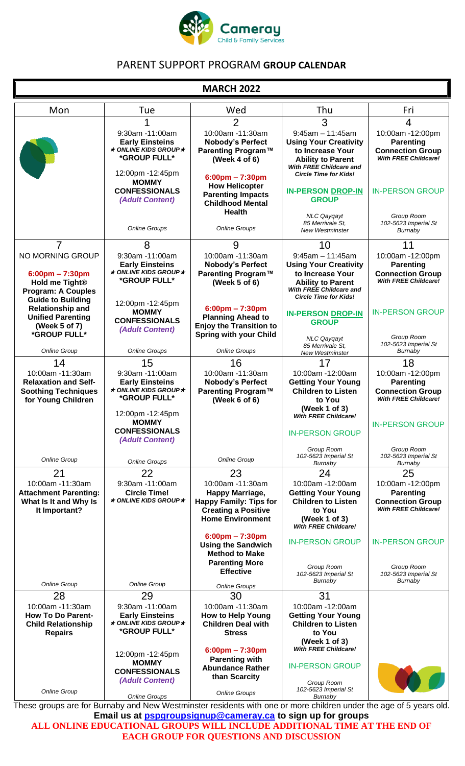

## PARENT SUPPORT PROGRAM **GROUP CALENDAR**

### **MARCH 2022**

| Mon                                                                                                                                          | Tue                                                                                                  | Wed                                                                                                                                | Thu                                                                                                                                                                  | Fri                                                                                            |
|----------------------------------------------------------------------------------------------------------------------------------------------|------------------------------------------------------------------------------------------------------|------------------------------------------------------------------------------------------------------------------------------------|----------------------------------------------------------------------------------------------------------------------------------------------------------------------|------------------------------------------------------------------------------------------------|
|                                                                                                                                              |                                                                                                      | $\overline{2}$                                                                                                                     | 3                                                                                                                                                                    | $\overline{4}$                                                                                 |
|                                                                                                                                              | 9:30am -11:00am<br><b>Early Einsteins</b><br>$\star$ ONLINE KIDS GROUP $\star$<br>*GROUP FULL*       | 10:00am -11:30am<br><b>Nobody's Perfect</b><br>Parenting Program™<br>(Week $4$ of $6$ )                                            | $9:45am - 11:45am$<br><b>Using Your Creativity</b><br>to Increase Your<br><b>Ability to Parent</b><br>With FREE Childcare and                                        | 10:00am -12:00pm<br><b>Parenting</b><br><b>Connection Group</b><br><b>With FREE Childcare!</b> |
|                                                                                                                                              | 12:00pm -12:45pm<br><b>MOMMY</b><br><b>CONFESSIONALS</b><br>(Adult Content)                          | $6:00 \text{pm} - 7:30 \text{pm}$<br><b>How Helicopter</b><br><b>Parenting Impacts</b><br><b>Childhood Mental</b><br><b>Health</b> | <b>Circle Time for Kids!</b><br><b>IN-PERSON DROP-IN</b><br><b>GROUP</b>                                                                                             | <b>IN-PERSON GROUP</b>                                                                         |
|                                                                                                                                              | <b>Online Groups</b>                                                                                 | <b>Online Groups</b>                                                                                                               | <b>NLC Qayqayt</b><br>85 Merrivale St.<br><b>New Westminster</b>                                                                                                     | Group Room<br>102-5623 Imperial St<br>Burnaby                                                  |
| $\overline{7}$                                                                                                                               | 8                                                                                                    | 9                                                                                                                                  | 10                                                                                                                                                                   | 11                                                                                             |
| NO MORNING GROUP<br>$6:00 \text{pm} - 7:30 \text{pm}$<br>Hold me Tight <sup>®</sup><br><b>Program: A Couples</b><br><b>Guide to Building</b> | 9:30am -11:00am<br><b>Early Einsteins</b><br>$\star$ ONLINE KIDS GROUP $\star$<br>*GROUP FULL*       | 10:00am -11:30am<br><b>Nobody's Perfect</b><br>Parenting Program™<br>(Week 5 of 6)                                                 | $9:45am - 11:45am$<br><b>Using Your Creativity</b><br>to Increase Your<br><b>Ability to Parent</b><br><b>With FREE Childcare and</b><br><b>Circle Time for Kids!</b> | 10:00am -12:00pm<br><b>Parenting</b><br><b>Connection Group</b><br>With FREE Childcare!        |
| <b>Relationship and</b><br><b>Unified Parenting</b><br>(Week 5 of 7)<br>*GROUP FULL*                                                         | 12:00pm -12:45pm<br><b>MOMMY</b><br><b>CONFESSIONALS</b><br>(Adult Content)                          | $6:00 \text{pm} - 7:30 \text{pm}$<br><b>Planning Ahead to</b><br><b>Enjoy the Transition to</b><br><b>Spring with your Child</b>   | <b>IN-PERSON DROP-IN</b><br><b>GROUP</b>                                                                                                                             | <b>IN-PERSON GROUP</b>                                                                         |
| Online Group                                                                                                                                 | <b>Online Groups</b>                                                                                 | <b>Online Groups</b>                                                                                                               | <b>NLC Qaygayt</b><br>85 Merrivale St.<br><b>New Westminster</b>                                                                                                     | Group Room<br>102-5623 Imperial St<br>Burnaby                                                  |
| 14                                                                                                                                           | 15                                                                                                   | 16                                                                                                                                 | 17                                                                                                                                                                   | 18                                                                                             |
| 10:00am -11:30am                                                                                                                             | 9:30am -11:00am                                                                                      | 10:00am -11:30am                                                                                                                   | 10:00am -12:00am                                                                                                                                                     | 10:00am -12:00pm                                                                               |
| <b>Relaxation and Self-</b><br><b>Soothing Techniques</b><br>for Young Children                                                              | <b>Early Einsteins</b><br>$\star$ ONLINE KIDS GROUP $\star$<br>*GROUP FULL*                          | <b>Nobody's Perfect</b><br>Parenting Program™<br>(Week $6$ of $6$ )                                                                | <b>Getting Your Young</b><br><b>Children to Listen</b><br>to You                                                                                                     | <b>Parenting</b><br><b>Connection Group</b><br><b>With FREE Childcare!</b>                     |
|                                                                                                                                              | 12:00pm -12:45pm                                                                                     |                                                                                                                                    | (Week 1 of 3)<br><b>With FREE Childcare!</b>                                                                                                                         |                                                                                                |
|                                                                                                                                              | <b>MOMMY</b><br><b>CONFESSIONALS</b><br>(Adult Content)                                              |                                                                                                                                    | <b>IN-PERSON GROUP</b>                                                                                                                                               | <b>IN-PERSON GROUP</b>                                                                         |
| <b>Online Group</b>                                                                                                                          | <b>Online Groups</b>                                                                                 | Online Group                                                                                                                       | Group Room<br>102-5623 Imperial St<br>Burnaby                                                                                                                        | Group Room<br>102-5623 Imperial St<br>Burnaby                                                  |
| 21                                                                                                                                           | 22                                                                                                   | 23                                                                                                                                 | 24                                                                                                                                                                   | 25                                                                                             |
| 10:00am -11:30am<br><b>Attachment Parenting:</b><br>What Is It and Why Is<br>It Important?                                                   | 9:30am -11:00am<br><b>Circle Time!</b><br>$\star$ ONLINE KIDS GROUP $\star$                          | 10:00am -11:30am<br>Happy Marriage,<br><b>Happy Family: Tips for</b><br><b>Creating a Positive</b><br><b>Home Environment</b>      | 10:00am -12:00am<br><b>Getting Your Young</b><br><b>Children to Listen</b><br>to You<br>(Week 1 of 3)                                                                | 10:00am -12:00pm<br><b>Parenting</b><br><b>Connection Group</b><br><b>With FREE Childcare!</b> |
|                                                                                                                                              |                                                                                                      | $6:00 \text{pm} - 7:30 \text{pm}$<br><b>Using the Sandwich</b><br><b>Method to Make</b>                                            | <b>With FREE Childcare!</b><br><b>IN-PERSON GROUP</b>                                                                                                                | <b>IN-PERSON GROUP</b>                                                                         |
|                                                                                                                                              |                                                                                                      | <b>Parenting More</b><br><b>Effective</b>                                                                                          | Group Room<br>102-5623 Imperial St<br>Burnaby                                                                                                                        | Group Room<br>102-5623 Imperial St<br>Burnaby                                                  |
| Online Group                                                                                                                                 | <b>Online Group</b>                                                                                  | <b>Online Groups</b>                                                                                                               |                                                                                                                                                                      |                                                                                                |
| 28<br>10:00am -11:30am<br><b>How To Do Parent-</b><br><b>Child Relationship</b><br><b>Repairs</b>                                            | 29<br>9:30am -11:00am<br><b>Early Einsteins</b><br>$\star$ ONLINE KIDS GROUP $\star$<br>*GROUP FULL* | 30<br>10:00am -11:30am<br><b>How to Help Young</b><br><b>Children Deal with</b><br><b>Stress</b>                                   | 31<br>10:00am -12:00am<br><b>Getting Your Young</b><br><b>Children to Listen</b><br>to You<br>(Week 1 of 3)                                                          |                                                                                                |
|                                                                                                                                              | 12:00pm -12:45pm<br><b>MOMMY</b><br><b>CONFESSIONALS</b><br>(Adult Content)                          | $6:00 \text{pm} - 7:30 \text{pm}$<br><b>Parenting with</b><br><b>Abundance Rather</b><br>than Scarcity                             | <b>With FREE Childcare!</b><br><b>IN-PERSON GROUP</b><br>Group Room<br>102-5623 Imperial St                                                                          |                                                                                                |
| Online Group                                                                                                                                 | <b>Online Groups</b>                                                                                 | <b>Online Groups</b>                                                                                                               | Burnaby                                                                                                                                                              |                                                                                                |

These groups are for Burnaby and New Westminster residents with one or more children under the age of 5 years old. **Email us at [pspgroupsignup@cameray.ca](mailto:pspgroupsignup@cameray.ca) to sign up for groups**

**ALL ONLINE EDUCATIONAL GROUPS WILL INCLUDE ADDITIONAL TIME AT THE END OF EACH GROUP FOR QUESTIONS AND DISCUSSION**